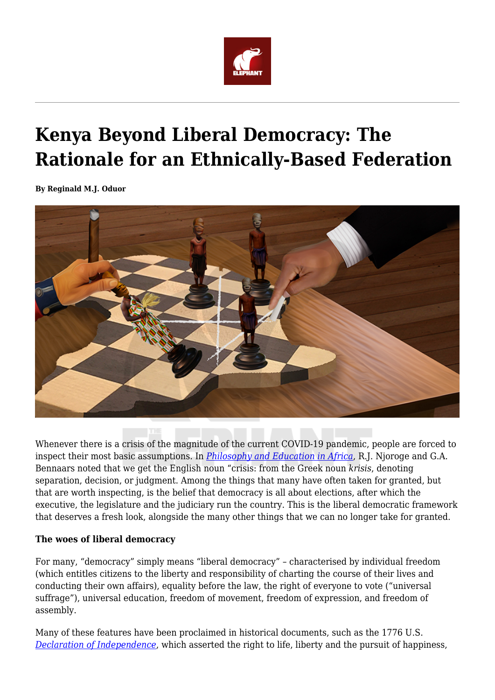

## **Kenya Beyond Liberal Democracy: The Rationale for an Ethnically-Based Federation**

**By Reginald M.J. Oduor**



Whenever there is a crisis of the magnitude of the current COVID-19 pandemic, people are forced to inspect their most basic assumptions. In *[Philosophy and Education in Africa](https://www.worldcat.org/title/philosophy-and-education-in-africa-an-introductory-text-for-students-of-education/oclc/15813989)*, R.J. Njoroge and G.A. Bennaars noted that we get the English noun "crisis: from the Greek noun *krisis*, denoting separation, decision, or judgment. Among the things that many have often taken for granted, but that are worth inspecting, is the belief that democracy is all about elections, after which the executive, the legislature and the judiciary run the country. This is the liberal democratic framework that deserves a fresh look, alongside the many other things that we can no longer take for granted.

## **The woes of liberal democracy**

For many, "democracy" simply means "liberal democracy" – characterised by individual freedom (which entitles citizens to the liberty and responsibility of charting the course of their lives and conducting their own affairs), equality before the law, the right of everyone to vote ("universal suffrage"), universal education, freedom of movement, freedom of expression, and freedom of assembly.

Many of these features have been proclaimed in historical documents, such as the 1776 U.S. *[Declaration of Independence](http://www.earlyamerica.com/earlyamerica/.../text.html)*, which asserted the right to life, liberty and the pursuit of happiness,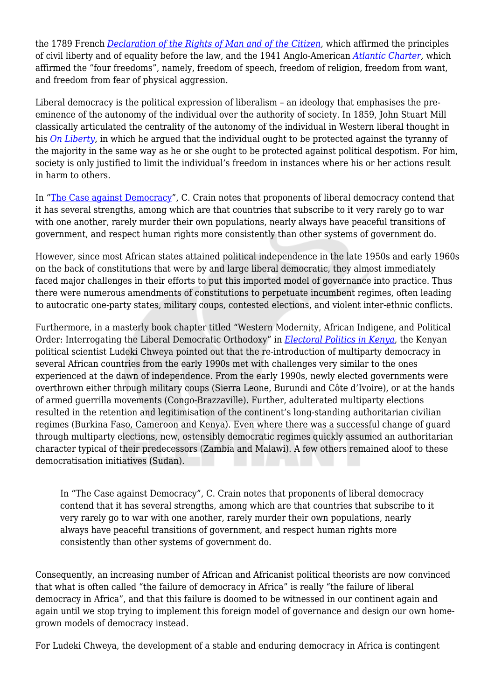the 1789 French *[Declaration of the Rights of Man and of the Citizen](http://www.hrcr.org)*, which affirmed the principles of civil liberty and of equality before the law, and the 1941 Anglo-American *[Atlantic Charter](http://www.internet-esq.com/ussaugusta/atlantic1.htm),* which affirmed the "four freedoms", namely, freedom of speech, freedom of religion, freedom from want, and freedom from fear of physical aggression.

Liberal democracy is the political expression of liberalism – an ideology that emphasises the preeminence of the autonomy of the individual over the authority of society. In 1859, John Stuart Mill classically articulated the centrality of the autonomy of the individual in Western liberal thought in his *[On Liberty](https://www.utilitarianism.com/ol/one.html)*, in which he argued that the individual ought to be protected against the tyranny of the majority in the same way as he or she ought to be protected against political despotism. For him, society is only justified to limit the individual's freedom in instances where his or her actions result in harm to others.

In ["The Case against Democracy"](http://www.newyorker.com/magazine/2016/11/07/the-case-against-democracy), C. Crain notes that proponents of liberal democracy contend that it has several strengths, among which are that countries that subscribe to it very rarely go to war with one another, rarely murder their own populations, nearly always have peaceful transitions of government, and respect human rights more consistently than other systems of government do.

However, since most African states attained political independence in the late 1950s and early 1960s on the back of constitutions that were by and large liberal democratic, they almost immediately faced major challenges in their efforts to put this imported model of governance into practice. Thus there were numerous amendments of constitutions to perpetuate incumbent regimes, often leading to autocratic one-party states, military coups, contested elections, and violent inter-ethnic conflicts.

Furthermore, in a masterly book chapter titled "Western Modernity, African Indigene, and Political Order: Interrogating the Liberal Democratic Orthodoxy" in *[Electoral Politics in Kenya](https://www.worldcat.org/title/electoral-politics-in-kenya/oclc/50630742)*, the Kenyan political scientist Ludeki Chweya pointed out that the re-introduction of multiparty democracy in several African countries from the early 1990s met with challenges very similar to the ones experienced at the dawn of independence. From the early 1990s, newly elected governments were overthrown either through military coups (Sierra Leone, Burundi and Côte d'Ivoire), or at the hands of armed guerrilla movements (Congo-Brazzaville). Further, adulterated multiparty elections resulted in the retention and legitimisation of the continent's long-standing authoritarian civilian regimes (Burkina Faso, Cameroon and Kenya). Even where there was a successful change of guard through multiparty elections, new, ostensibly democratic regimes quickly assumed an authoritarian character typical of their predecessors (Zambia and Malawi). A few others remained aloof to these democratisation initiatives (Sudan).

In "The Case against Democracy", C. Crain notes that proponents of liberal democracy contend that it has several strengths, among which are that countries that subscribe to it very rarely go to war with one another, rarely murder their own populations, nearly always have peaceful transitions of government, and respect human rights more consistently than other systems of government do.

Consequently, an increasing number of African and Africanist political theorists are now convinced that what is often called "the failure of democracy in Africa" is really "the failure of liberal democracy in Africa", and that this failure is doomed to be witnessed in our continent again and again until we stop trying to implement this foreign model of governance and design our own homegrown models of democracy instead.

For Ludeki Chweya, the development of a stable and enduring democracy in Africa is contingent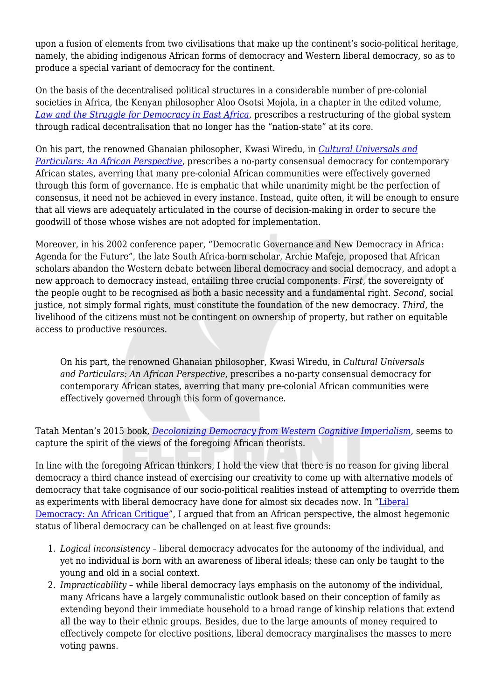upon a fusion of elements from two civilisations that make up the continent's socio-political heritage, namely, the abiding indigenous African forms of democracy and Western liberal democracy, so as to produce a special variant of democracy for the continent.

On the basis of the decentralised political structures in a considerable number of pre-colonial societies in Africa, the Kenyan philosopher Aloo Osotsi Mojola, in a chapter in the edited volume, *[Law and the Struggle for Democracy in East Africa](https://www.worldcat.org/title/law-and-the-struggle-for-democracy-in-east-africa/oclc/35042218)*, prescribes a restructuring of the global system through radical decentralisation that no longer has the "nation-state" at its core.

On his part, the renowned Ghanaian philosopher, Kwasi Wiredu, in *[Cultural Universals and](https://www.amazon.com/Cultural-Universals-Particulars-African-Perspective/dp/0253210801) [Particulars: An African Perspective](https://www.amazon.com/Cultural-Universals-Particulars-African-Perspective/dp/0253210801)*, prescribes a no-party consensual democracy for contemporary African states, averring that many pre-colonial African communities were effectively governed through this form of governance. He is emphatic that while unanimity might be the perfection of consensus, it need not be achieved in every instance. Instead, quite often, it will be enough to ensure that all views are adequately articulated in the course of decision-making in order to secure the goodwill of those whose wishes are not adopted for implementation.

Moreover, in his 2002 conference paper, "Democratic Governance and New Democracy in Africa: Agenda for the Future", the late South Africa-born scholar, Archie Mafeje, proposed that African scholars abandon the Western debate between liberal democracy and social democracy, and adopt a new approach to democracy instead, entailing three crucial components. *First*, the sovereignty of the people ought to be recognised as both a basic necessity and a fundamental right. *Second*, social justice, not simply formal rights, must constitute the foundation of the new democracy. *Third*, the livelihood of the citizens must not be contingent on ownership of property, but rather on equitable access to productive resources.

On his part, the renowned Ghanaian philosopher, Kwasi Wiredu, in *Cultural Universals and Particulars: An African Perspective*, prescribes a no-party consensual democracy for contemporary African states, averring that many pre-colonial African communities were effectively governed through this form of governance.

Tatah Mentan's 2015 book, *[Decolonizing Democracy from Western Cognitive Imperialism](https://www.amazon.com/Decolonizing-Democracy-Western-Cognitive-Imperialism/dp/9956762164)*, seems to capture the spirit of the views of the foregoing African theorists.

In line with the foregoing African thinkers, I hold the view that there is no reason for giving liberal democracy a third chance instead of exercising our creativity to come up with alternative models of democracy that take cognisance of our socio-political realities instead of attempting to override them as experiments with liberal democracy have done for almost six decades now. In "[Liberal](https://www.tandfonline.com/doi/abs/10.1080/02580136.2019.1583882) [Democracy: An African Critique"](https://www.tandfonline.com/doi/abs/10.1080/02580136.2019.1583882), I argued that from an African perspective, the almost hegemonic status of liberal democracy can be challenged on at least five grounds:

- 1. *Logical inconsistency* liberal democracy advocates for the autonomy of the individual, and yet no individual is born with an awareness of liberal ideals; these can only be taught to the young and old in a social context.
- 2. *Impracticability* while liberal democracy lays emphasis on the autonomy of the individual, many Africans have a largely communalistic outlook based on their conception of family as extending beyond their immediate household to a broad range of kinship relations that extend all the way to their ethnic groups. Besides, due to the large amounts of money required to effectively compete for elective positions, liberal democracy marginalises the masses to mere voting pawns.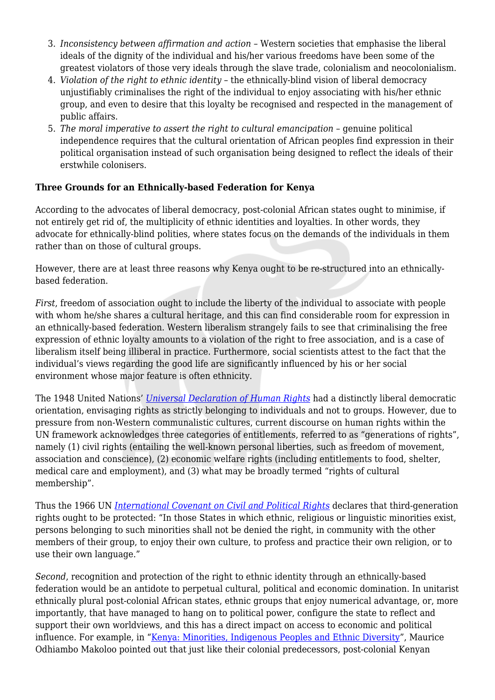- 3. *Inconsistency between affirmation and action* Western societies that emphasise the liberal ideals of the dignity of the individual and his/her various freedoms have been some of the greatest violators of those very ideals through the slave trade, colonialism and neocolonialism.
- 4. *Violation of the right to ethnic identity* the ethnically-blind vision of liberal democracy unjustifiably criminalises the right of the individual to enjoy associating with his/her ethnic group, and even to desire that this loyalty be recognised and respected in the management of public affairs.
- 5. *The moral imperative to assert the right to cultural emancipation* genuine political independence requires that the cultural orientation of African peoples find expression in their political organisation instead of such organisation being designed to reflect the ideals of their erstwhile colonisers.

## **Three Grounds for an Ethnically-based Federation for Kenya**

According to the advocates of liberal democracy, post-colonial African states ought to minimise, if not entirely get rid of, the multiplicity of ethnic identities and loyalties. In other words, they advocate for ethnically-blind polities, where states focus on the demands of the individuals in them rather than on those of cultural groups.

However, there are at least three reasons why Kenya ought to be re-structured into an ethnicallybased federation.

*First*, freedom of association ought to include the liberty of the individual to associate with people with whom he/she shares a cultural heritage, and this can find considerable room for expression in an ethnically-based federation. Western liberalism strangely fails to see that criminalising the free expression of ethnic loyalty amounts to a violation of the right to free association, and is a case of liberalism itself being illiberal in practice. Furthermore, social scientists attest to the fact that the individual's views regarding the good life are significantly influenced by his or her social environment whose major feature is often ethnicity.

The 1948 United Nations' *[Universal Declaration of Human Rights](https://www.un.org/en/universal-declaration-human-rights/)* had a distinctly liberal democratic orientation, envisaging rights as strictly belonging to individuals and not to groups. However, due to pressure from non-Western communalistic cultures, current discourse on human rights within the UN framework acknowledges three categories of entitlements, referred to as "generations of rights", namely (1) civil rights (entailing the well-known personal liberties, such as freedom of movement, association and conscience), (2) economic welfare rights (including entitlements to food, shelter, medical care and employment), and (3) what may be broadly termed "rights of cultural membership".

Thus the 1966 UN *[International Covenant on Civil and Political Rights](https://treaties.un.org/doc/publication/unts/volume%20999/volume-999-i-14668-english.pdf)* declares that third-generation rights ought to be protected: "In those States in which ethnic, religious or linguistic minorities exist, persons belonging to such minorities shall not be denied the right, in community with the other members of their group, to enjoy their own culture, to profess and practice their own religion, or to use their own language."

*Second*, recognition and protection of the right to ethnic identity through an ethnically-based federation would be an antidote to perpetual cultural, political and economic domination. In unitarist ethnically plural post-colonial African states, ethnic groups that enjoy numerical advantage, or, more importantly, that have managed to hang on to political power, configure the state to reflect and support their own worldviews, and this has a direct impact on access to economic and political influence. For example, in ["Kenya: Minorities, Indigenous Peoples and Ethnic Diversity](https://minorityrights.org/wp-content/uploads/old-site-downloads/download-147-Kenya-Minorities-Indigenous-Peoples-and-Ethnic-Diversity.pdf)", Maurice Odhiambo Makoloo pointed out that just like their colonial predecessors, post-colonial Kenyan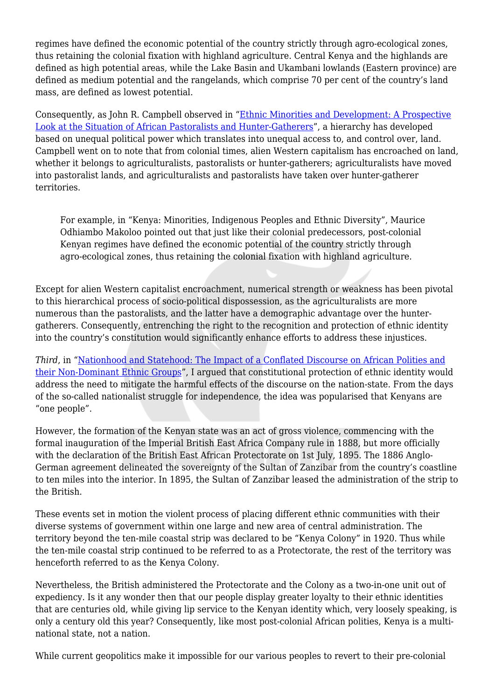regimes have defined the economic potential of the country strictly through agro-ecological zones, thus retaining the colonial fixation with highland agriculture. Central Kenya and the highlands are defined as high potential areas, while the Lake Basin and Ukambani lowlands (Eastern province) are defined as medium potential and the rangelands, which comprise 70 per cent of the country's land mass, are defined as lowest potential.

Consequently, as John R. Campbell observed in ["Ethnic Minorities and Development: A Prospective](https://journals.sagepub.com/doi/abs/10.1177/1468796804040326) [Look at the Situation of African Pastoralists and Hunter-Gatherers](https://journals.sagepub.com/doi/abs/10.1177/1468796804040326)", a hierarchy has developed based on unequal political power which translates into unequal access to, and control over, land. Campbell went on to note that from colonial times, alien Western capitalism has encroached on land, whether it belongs to agriculturalists, pastoralists or hunter-gatherers; agriculturalists have moved into pastoralist lands, and agriculturalists and pastoralists have taken over hunter-gatherer territories.

For example, in "Kenya: Minorities, Indigenous Peoples and Ethnic Diversity", Maurice Odhiambo Makoloo pointed out that just like their colonial predecessors, post-colonial Kenyan regimes have defined the economic potential of the country strictly through agro-ecological zones, thus retaining the colonial fixation with highland agriculture.

Except for alien Western capitalist encroachment, numerical strength or weakness has been pivotal to this hierarchical process of socio-political dispossession, as the agriculturalists are more numerous than the pastoralists, and the latter have a demographic advantage over the huntergatherers. Consequently, entrenching the right to the recognition and protection of ethnic identity into the country's constitution would significantly enhance efforts to address these injustices.

*Third*, in "[Nationhood and Statehood: The Impact of a Conflated Discourse on African Polities and](http://journals.udsm.ac.tz/index.php/uj/article/view/2341) [their Non-Dominant Ethnic Groups"](http://journals.udsm.ac.tz/index.php/uj/article/view/2341), I argued that constitutional protection of ethnic identity would address the need to mitigate the harmful effects of the discourse on the nation-state. From the days of the so-called nationalist struggle for independence, the idea was popularised that Kenyans are "one people".

However, the formation of the Kenyan state was an act of gross violence, commencing with the formal inauguration of the Imperial British East Africa Company rule in 1888, but more officially with the declaration of the British East African Protectorate on 1st July, 1895. The 1886 Anglo-German agreement delineated the sovereignty of the Sultan of Zanzibar from the country's coastline to ten miles into the interior. In 1895, the Sultan of Zanzibar leased the administration of the strip to the British.

These events set in motion the violent process of placing different ethnic communities with their diverse systems of government within one large and new area of central administration. The territory beyond the ten-mile coastal strip was declared to be "Kenya Colony" in 1920. Thus while the ten-mile coastal strip continued to be referred to as a Protectorate, the rest of the territory was henceforth referred to as the Kenya Colony.

Nevertheless, the British administered the Protectorate and the Colony as a two-in-one unit out of expediency. Is it any wonder then that our people display greater loyalty to their ethnic identities that are centuries old, while giving lip service to the Kenyan identity which, very loosely speaking, is only a century old this year? Consequently, like most post-colonial African polities, Kenya is a multinational state, not a nation.

While current geopolitics make it impossible for our various peoples to revert to their pre-colonial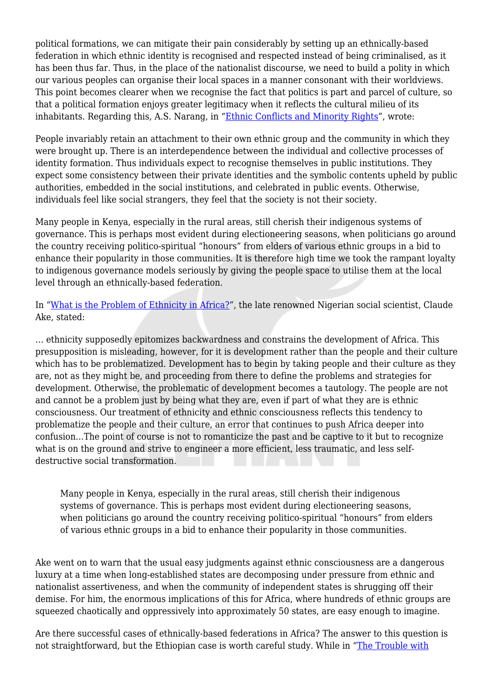political formations, we can mitigate their pain considerably by setting up an ethnically-based federation in which ethnic identity is recognised and respected instead of being criminalised, as it has been thus far. Thus, in the place of the nationalist discourse, we need to build a polity in which our various peoples can organise their local spaces in a manner consonant with their worldviews. This point becomes clearer when we recognise the fact that politics is part and parcel of culture, so that a political formation enjoys greater legitimacy when it reflects the cultural milieu of its inhabitants. Regarding this, A.S. Narang, in ["Ethnic Conflicts and Minority Rights](https://www.jstor.org/stable/4412319)", wrote:

People invariably retain an attachment to their own ethnic group and the community in which they were brought up. There is an interdependence between the individual and collective processes of identity formation. Thus individuals expect to recognise themselves in public institutions. They expect some consistency between their private identities and the symbolic contents upheld by public authorities, embedded in the social institutions, and celebrated in public events. Otherwise, individuals feel like social strangers, they feel that the society is not their society.

Many people in Kenya, especially in the rural areas, still cherish their indigenous systems of governance. This is perhaps most evident during electioneering seasons, when politicians go around the country receiving politico-spiritual "honours" from elders of various ethnic groups in a bid to enhance their popularity in those communities. It is therefore high time we took the rampant loyalty to indigenous governance models seriously by giving the people space to utilise them at the local level through an ethnically-based federation.

In ["What is the Problem of Ethnicity in Africa?](HTTP://DIGITAL.LIB.MSU.EDU/PROJECTS/AFRICANJOURNALS/PDFS/TRANSFORMATION/TRAN022/TRAN022002.PDF)", the late renowned Nigerian social scientist, Claude Ake, stated:

… ethnicity supposedly epitomizes backwardness and constrains the development of Africa. This presupposition is misleading, however, for it is development rather than the people and their culture which has to be problematized. Development has to begin by taking people and their culture as they are, not as they might be, and proceeding from there to define the problems and strategies for development. Otherwise, the problematic of development becomes a tautology. The people are not and cannot be a problem just by being what they are, even if part of what they are is ethnic consciousness. Our treatment of ethnicity and ethnic consciousness reflects this tendency to problematize the people and their culture, an error that continues to push Africa deeper into confusion…The point of course is not to romanticize the past and be captive to it but to recognize what is on the ground and strive to engineer a more efficient, less traumatic, and less selfdestructive social transformation.

Many people in Kenya, especially in the rural areas, still cherish their indigenous systems of governance. This is perhaps most evident during electioneering seasons, when politicians go around the country receiving politico-spiritual "honours" from elders of various ethnic groups in a bid to enhance their popularity in those communities.

Ake went on to warn that the usual easy judgments against ethnic consciousness are a dangerous luxury at a time when long-established states are decomposing under pressure from ethnic and nationalist assertiveness, and when the community of independent states is shrugging off their demise. For him, the enormous implications of this for Africa, where hundreds of ethnic groups are squeezed chaotically and oppressively into approximately 50 states, are easy enough to imagine.

Are there successful cases of ethnically-based federations in Africa? The answer to this question is not straightforward, but the Ethiopian case is worth careful study. While in "[The Trouble with](https://www.nytimes.com/2019/01/03/opinion/ethiopia-abiy-ahmed-reforms-ethnic-conflict-ethnic-federalism.html)